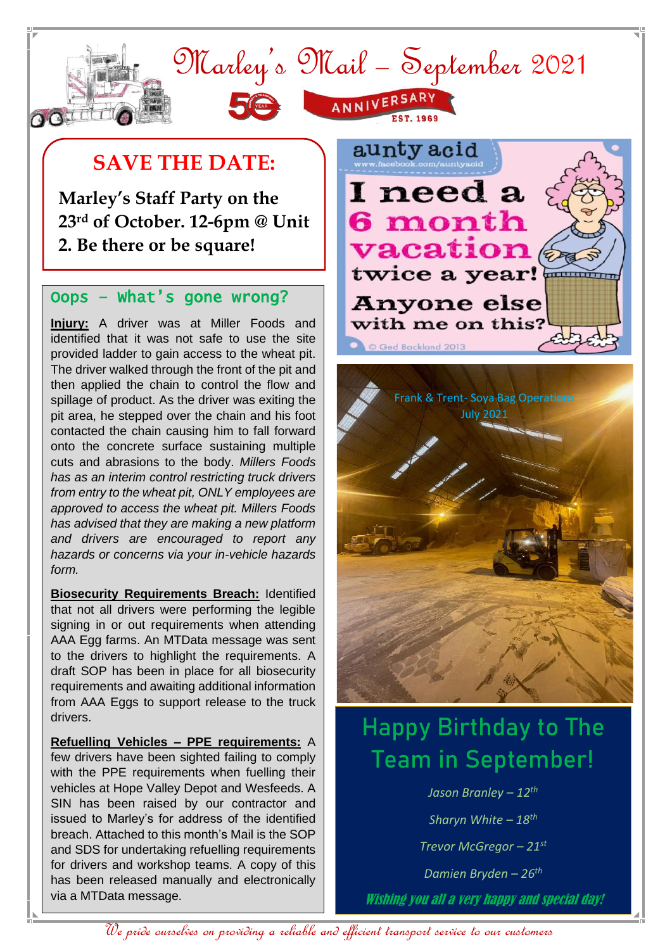

## **SAVE THE DATE:**

**Marley's Staff Party on the 23rd of October. 12-6pm @ Unit 2. Be there or be square!**

#### Oops – What's gone wrong?

**Injury:** A driver was at Miller Foods and identified that it was not safe to use the site provided ladder to gain access to the wheat pit. The driver walked through the front of the pit and then applied the chain to control the flow and spillage of product. As the driver was exiting the pit area, he stepped over the chain and his foot contacted the chain causing him to fall forward onto the concrete surface sustaining multiple cuts and abrasions to the body. *Millers Foods has as an interim control restricting truck drivers from entry to the wheat pit, ONLY employees are approved to access the wheat pit. Millers Foods has advised that they are making a new platform and drivers are encouraged to report any hazards or concerns via your in-vehicle hazards form.*

**Biosecurity Requirements Breach:** Identified that not all drivers were performing the legible signing in or out requirements when attending AAA Egg farms. An MTData message was sent to the drivers to highlight the requirements. A draft SOP has been in place for all biosecurity requirements and awaiting additional information from AAA Eggs to support release to the truck drivers.

**Refuelling Vehicles – PPE requirements:** A few drivers have been sighted failing to comply with the PPE requirements when fuelling their vehicles at Hope Valley Depot and Wesfeeds. A SIN has been raised by our contractor and issued to Marley's for address of the identified breach. Attached to this month's Mail is the SOP and SDS for undertaking refuelling requirements for drivers and workshop teams. A copy of this has been released manually and electronically via a MTData message.





# Happy Birthday to The Team in September!

*Jason Branley – 12 th Sharyn White – 18 th Trevor McGregor – 21st Damien Bryden – 26th* Wishing you all a very happy and special day!

We pride ourselves on providing a reliable and efficient transport service to our customers